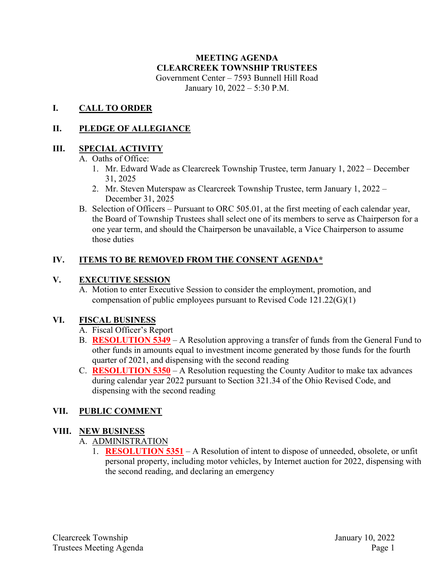# **MEETING AGENDA CLEARCREEK TOWNSHIP TRUSTEES** Government Center – 7593 Bunnell Hill Road

January 10, 2022 – 5:30 P.M.

#### **I. CALL TO ORDER**

### **II. PLEDGE OF ALLEGIANCE**

### **III. SPECIAL ACTIVITY**

A. Oaths of Office:

- 1. Mr. Edward Wade as Clearcreek Township Trustee, term January 1, 2022 December 31, 2025
- 2. Mr. Steven Muterspaw as Clearcreek Township Trustee, term January 1, 2022 December 31, 2025
- B. Selection of Officers Pursuant to ORC 505.01, at the first meeting of each calendar year, the Board of Township Trustees shall select one of its members to serve as Chairperson for a one year term, and should the Chairperson be unavailable, a Vice Chairperson to assume those duties

### **IV. ITEMS TO BE REMOVED FROM THE CONSENT AGENDA\***

#### **V. EXECUTIVE SESSION**

A. Motion to enter Executive Session to consider the employment, promotion, and compensation of public employees pursuant to Revised Code 121.22(G)(1)

#### **VI. FISCAL BUSINESS**

- A. Fiscal Officer's Report
- B. **RESOLUTION 5349** A Resolution approving a transfer of funds from the General Fund to other funds in amounts equal to investment income generated by those funds for the fourth quarter of 2021, and dispensing with the second reading
- C. **RESOLUTION 5350** A Resolution requesting the County Auditor to make tax advances during calendar year 2022 pursuant to Section 321.34 of the Ohio Revised Code, and dispensing with the second reading

# **VII. PUBLIC COMMENT**

#### **VIII. NEW BUSINESS**

#### A. ADMINISTRATION

1. **RESOLUTION 5351** – A Resolution of intent to dispose of unneeded, obsolete, or unfit personal property, including motor vehicles, by Internet auction for 2022, dispensing with the second reading, and declaring an emergency